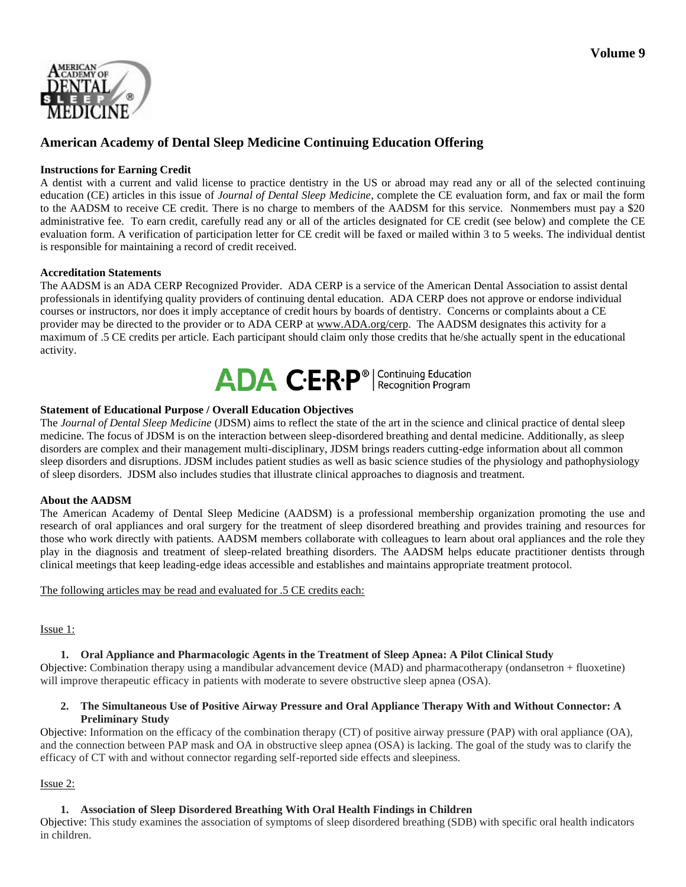

# **American Academy of Dental Sleep Medicine Continuing Education Offering**

## **Instructions for Earning Credit**

A dentist with a current and valid license to practice dentistry in the US or abroad may read any or all of the selected continuing education (CE) articles in this issue of *Journal of Dental Sleep Medicine*, complete the CE evaluation form, and fax or mail the form to the AADSM to receive CE credit. There is no charge to members of the AADSM for this service. Nonmembers must pay a \$20 administrative fee. To earn credit, carefully read any or all of the articles designated for CE credit (see below) and complete the CE evaluation form. A verification of participation letter for CE credit will be faxed or mailed within 3 to 5 weeks. The individual dentist is responsible for maintaining a record of credit received.

#### **Accreditation Statements**

The AADSM is an ADA CERP Recognized Provider. ADA CERP is a service of the American Dental Association to assist dental professionals in identifying quality providers of continuing dental education. ADA CERP does not approve or endorse individual courses or instructors, nor does it imply acceptance of credit hours by boards of dentistry. Concerns or complaints about a CE provider may be directed to the provider or to ADA CERP at www.ADA.org/cerp. The AADSM designates this activity for a maximum of .5 CE credits per article. Each participant should claim only those credits that he/she actually spent in the educational activity.



### **Statement of Educational Purpose / Overall Education Objectives**

The *Journal of Dental Sleep Medicine* (JDSM) aims to reflect the state of the art in the science and clinical practice of dental sleep medicine. The focus of JDSM is on the interaction between sleep-disordered breathing and dental medicine. Additionally, as sleep disorders are complex and their management multi-disciplinary, JDSM brings readers cutting-edge information about all common sleep disorders and disruptions. JDSM includes patient studies as well as basic science studies of the physiology and pathophysiology of sleep disorders. JDSM also includes studies that illustrate clinical approaches to diagnosis and treatment.

### **About the AADSM**

The American Academy of Dental Sleep Medicine (AADSM) is a professional membership organization promoting the use and research of oral appliances and oral surgery for the treatment of sleep disordered breathing and provides training and resources for those who work directly with patients. AADSM members collaborate with colleagues to learn about oral appliances and the role they play in the diagnosis and treatment of sleep-related breathing disorders. The AADSM helps educate practitioner dentists through clinical meetings that keep leading-edge ideas accessible and establishes and maintains appropriate treatment protocol.

#### The following articles may be read and evaluated for .5 CE credits each:

### Issue 1:

### **1. Oral Appliance and Pharmacologic Agents in the Treatment of Sleep Apnea: A Pilot Clinical Study**

Objective: Combination therapy using a mandibular advancement device (MAD) and pharmacotherapy (ondansetron + fluoxetine) will improve therapeutic efficacy in patients with moderate to severe obstructive sleep apnea (OSA).

#### **2. The Simultaneous Use of Positive Airway Pressure and Oral Appliance Therapy With and Without Connector: A Preliminary Study**

Objective: Information on the efficacy of the combination therapy (CT) of positive airway pressure (PAP) with oral appliance (OA), and the connection between PAP mask and OA in obstructive sleep apnea (OSA) is lacking. The goal of the study was to clarify the efficacy of CT with and without connector regarding self-reported side effects and sleepiness.

### Issue 2:

### **1. Association of Sleep Disordered Breathing With Oral Health Findings in Children**

Objective: This study examines the association of symptoms of sleep disordered breathing (SDB) with specific oral health indicators in children.